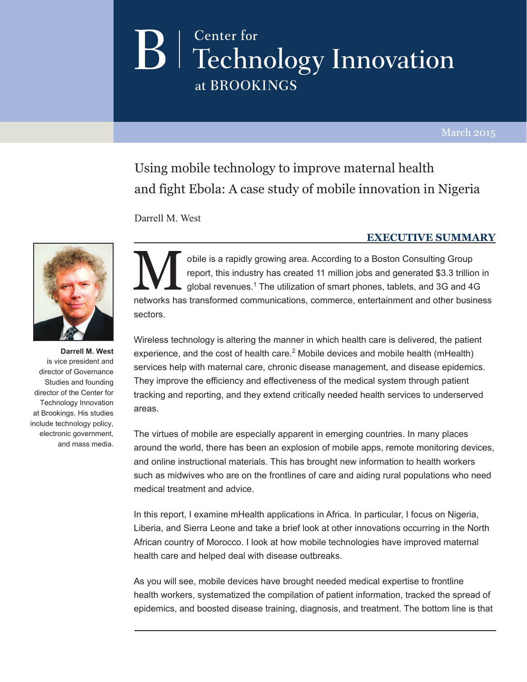# Center for  $\mathbf{B}$   $\vert$  Technology Innovation at BROOKINGS

March 2015

Using mobile technology to improve maternal health and fight Ebola: A case study of mobile innovation in Nigeria

Darrell M. West

#### **executive summary**



**Darrell M. West**  is vice president and director of Governance Studies and founding director of the Center for Technology Innovation at Brookings. His studies include technology policy, electronic government, and mass media.

Obile is a rapidly growing area. According to a Boston Consulting Group<br>report, this industry has created 11 million jobs and generated \$3.3 trillion<br>global revenues.<sup>1</sup> The utilization of smart phones, tablets, and 3G and report, this industry has created 11 million jobs and generated \$3.3 trillion in global revenues.<sup>1</sup> The utilization of smart phones, tablets, and 3G and 4G networks has transformed communications, commerce, entertainment and other business sectors.

Wireless technology is altering the manner in which health care is delivered, the patient experience, and the cost of health care.<sup>2</sup> Mobile devices and mobile health (mHealth) services help with maternal care, chronic disease management, and disease epidemics. They improve the efficiency and effectiveness of the medical system through patient tracking and reporting, and they extend critically needed health services to underserved areas.

The virtues of mobile are especially apparent in emerging countries. In many places around the world, there has been an explosion of mobile apps, remote monitoring devices, and online instructional materials. This has brought new information to health workers such as midwives who are on the frontlines of care and aiding rural populations who need medical treatment and advice.

In this report, I examine mHealth applications in Africa. In particular, I focus on Nigeria, Liberia, and Sierra Leone and take a brief look at other innovations occurring in the North African country of Morocco. I look at how mobile technologies have improved maternal health care and helped deal with disease outbreaks.

As you will see, mobile devices have brought needed medical expertise to frontline health workers, systematized the compilation of patient information, tracked the spread of epidemics, and boosted disease training, diagnosis, and treatment. The bottom line is that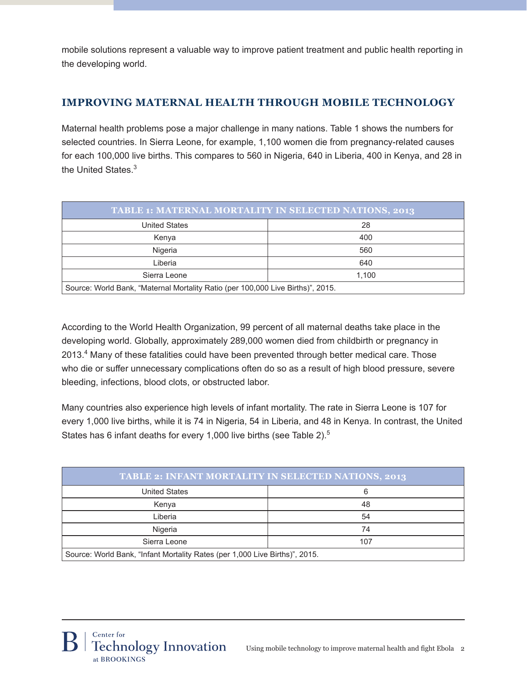mobile solutions represent a valuable way to improve patient treatment and public health reporting in the developing world.

# **Improving Maternal Health Through Mobile Technology**

Maternal health problems pose a major challenge in many nations. Table 1 shows the numbers for selected countries. In Sierra Leone, for example, 1,100 women die from pregnancy-related causes for each 100,000 live births. This compares to 560 in Nigeria, 640 in Liberia, 400 in Kenya, and 28 in the United States.<sup>3</sup>

| <b>TABLE 1: MATERNAL MORTALITY IN SELECTED NATIONS, 2013</b>                    |       |  |  |
|---------------------------------------------------------------------------------|-------|--|--|
| <b>United States</b>                                                            | 28    |  |  |
| Kenya                                                                           | 400   |  |  |
| Nigeria                                                                         | 560   |  |  |
| Liberia                                                                         | 640   |  |  |
| Sierra Leone                                                                    | 1.100 |  |  |
| Source: World Bank, "Maternal Mortality Ratio (per 100,000 Live Births)", 2015. |       |  |  |

According to the World Health Organization, 99 percent of all maternal deaths take place in the developing world. Globally, approximately 289,000 women died from childbirth or pregnancy in 2013.<sup>4</sup> Many of these fatalities could have been prevented through better medical care. Those who die or suffer unnecessary complications often do so as a result of high blood pressure, severe bleeding, infections, blood clots, or obstructed labor.

Many countries also experience high levels of infant mortality. The rate in Sierra Leone is 107 for every 1,000 live births, while it is 74 in Nigeria, 54 in Liberia, and 48 in Kenya. In contrast, the United States has 6 infant deaths for every 1,000 live births (see Table 2).<sup>5</sup>

| <b>TABLE 2: INFANT MORTALITY IN SELECTED NATIONS, 2013</b>                  |     |  |  |
|-----------------------------------------------------------------------------|-----|--|--|
| <b>United States</b>                                                        | 6   |  |  |
| Kenya                                                                       | 48  |  |  |
| Liberia                                                                     | 54  |  |  |
| Nigeria                                                                     | 74  |  |  |
| Sierra Leone                                                                | 107 |  |  |
| Source: World Bank, "Infant Mortality Rates (per 1,000 Live Births)", 2015. |     |  |  |

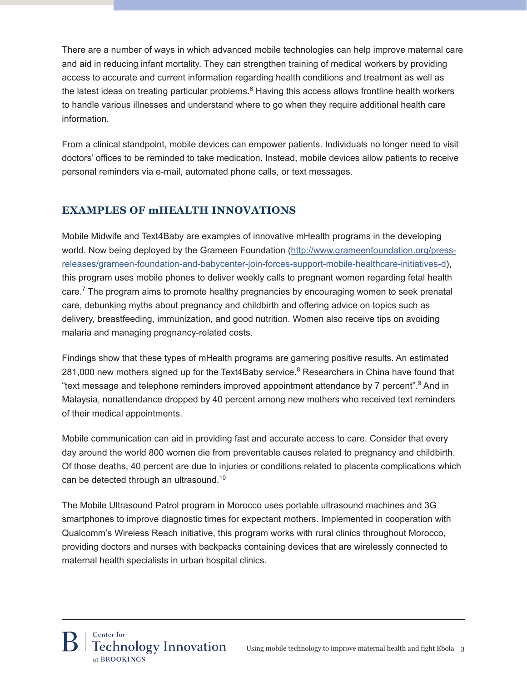There are a number of ways in which advanced mobile technologies can help improve maternal care and aid in reducing infant mortality. They can strengthen training of medical workers by providing access to accurate and current information regarding health conditions and treatment as well as the latest ideas on treating particular problems.<sup>6</sup> Having this access allows frontline health workers to handle various illnesses and understand where to go when they require additional health care information.

From a clinical standpoint, mobile devices can empower patients. Individuals no longer need to visit doctors' offices to be reminded to take medication. Instead, mobile devices allow patients to receive personal reminders via e-mail, automated phone calls, or text messages.

## **Examples of mHealth Innovations**

Mobile Midwife and Text4Baby are examples of innovative mHealth programs in the developing world. Now being deployed by the Grameen Foundation (http://www.grameenfoundation.org/pressreleases/grameen-foundation-and-babycenter-join-forces-support-mobile-healthcare-initiatives-d), this program uses mobile phones to deliver weekly calls to pregnant women regarding fetal health care.<sup>7</sup> The program aims to promote healthy pregnancies by encouraging women to seek prenatal care, debunking myths about pregnancy and childbirth and offering advice on topics such as delivery, breastfeeding, immunization, and good nutrition. Women also receive tips on avoiding malaria and managing pregnancy-related costs.

Findings show that these types of mHealth programs are garnering positive results. An estimated 281,000 new mothers signed up for the Text4Baby service.<sup>8</sup> Researchers in China have found that "text message and telephone reminders improved appointment attendance by 7 percent".<sup>9</sup> And in Malaysia, nonattendance dropped by 40 percent among new mothers who received text reminders of their medical appointments.

Mobile communication can aid in providing fast and accurate access to care. Consider that every day around the world 800 women die from preventable causes related to pregnancy and childbirth. Of those deaths, 40 percent are due to injuries or conditions related to placenta complications which can be detected through an ultrasound.<sup>10</sup>

The Mobile Ultrasound Patrol program in Morocco uses portable ultrasound machines and 3G smartphones to improve diagnostic times for expectant mothers. Implemented in cooperation with Qualcomm's Wireless Reach initiative, this program works with rural clinics throughout Morocco, providing doctors and nurses with backpacks containing devices that are wirelessly connected to maternal health specialists in urban hospital clinics.

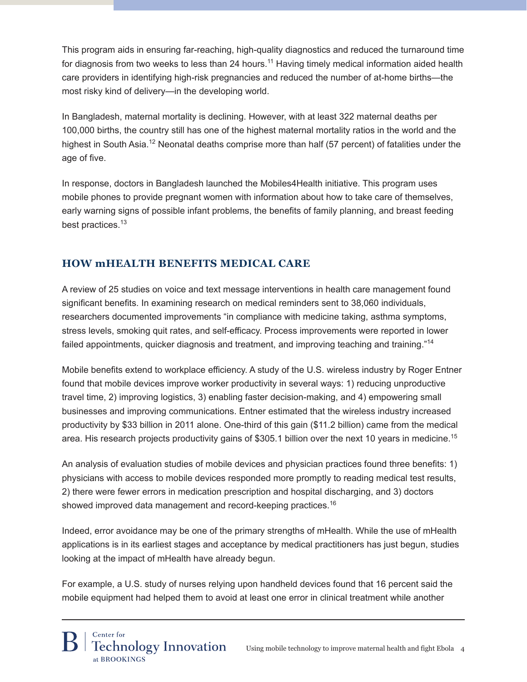This program aids in ensuring far-reaching, high-quality diagnostics and reduced the turnaround time for diagnosis from two weeks to less than 24 hours.<sup>11</sup> Having timely medical information aided health care providers in identifying high-risk pregnancies and reduced the number of at-home births—the most risky kind of delivery—in the developing world.

In Bangladesh, maternal mortality is declining. However, with at least 322 maternal deaths per 100,000 births, the country still has one of the highest maternal mortality ratios in the world and the highest in South Asia.<sup>12</sup> Neonatal deaths comprise more than half (57 percent) of fatalities under the age of five.

In response, doctors in Bangladesh launched the Mobiles4Health initiative. This program uses mobile phones to provide pregnant women with information about how to take care of themselves, early warning signs of possible infant problems, the benefits of family planning, and breast feeding best practices.<sup>13</sup>

# **How mHealth Benefits Medical Care**

A review of 25 studies on voice and text message interventions in health care management found significant benefits. In examining research on medical reminders sent to 38,060 individuals, researchers documented improvements "in compliance with medicine taking, asthma symptoms, stress levels, smoking quit rates, and self-efficacy. Process improvements were reported in lower failed appointments, quicker diagnosis and treatment, and improving teaching and training."<sup>14</sup>

Mobile benefits extend to workplace efficiency. A study of the U.S. wireless industry by Roger Entner found that mobile devices improve worker productivity in several ways: 1) reducing unproductive travel time, 2) improving logistics, 3) enabling faster decision-making, and 4) empowering small businesses and improving communications. Entner estimated that the wireless industry increased productivity by \$33 billion in 2011 alone. One-third of this gain (\$11.2 billion) came from the medical area. His research projects productivity gains of \$305.1 billion over the next 10 years in medicine.<sup>15</sup>

An analysis of evaluation studies of mobile devices and physician practices found three benefits: 1) physicians with access to mobile devices responded more promptly to reading medical test results, 2) there were fewer errors in medication prescription and hospital discharging, and 3) doctors showed improved data management and record-keeping practices.<sup>16</sup>

Indeed, error avoidance may be one of the primary strengths of mHealth. While the use of mHealth applications is in its earliest stages and acceptance by medical practitioners has just begun, studies looking at the impact of mHealth have already begun.

For example, a U.S. study of nurses relying upon handheld devices found that 16 percent said the mobile equipment had helped them to avoid at least one error in clinical treatment while another

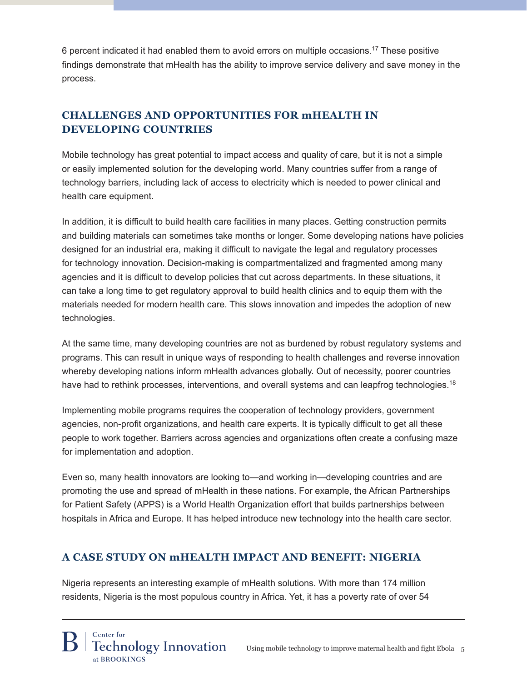6 percent indicated it had enabled them to avoid errors on multiple occasions.17 These positive findings demonstrate that mHealth has the ability to improve service delivery and save money in the process.

# **Challenges and Opportunities for mHealth in Developing Countries**

Mobile technology has great potential to impact access and quality of care, but it is not a simple or easily implemented solution for the developing world. Many countries suffer from a range of technology barriers, including lack of access to electricity which is needed to power clinical and health care equipment.

In addition, it is difficult to build health care facilities in many places. Getting construction permits and building materials can sometimes take months or longer. Some developing nations have policies designed for an industrial era, making it difficult to navigate the legal and regulatory processes for technology innovation. Decision-making is compartmentalized and fragmented among many agencies and it is difficult to develop policies that cut across departments. In these situations, it can take a long time to get regulatory approval to build health clinics and to equip them with the materials needed for modern health care. This slows innovation and impedes the adoption of new technologies.

At the same time, many developing countries are not as burdened by robust regulatory systems and programs. This can result in unique ways of responding to health challenges and reverse innovation whereby developing nations inform mHealth advances globally. Out of necessity, poorer countries have had to rethink processes, interventions, and overall systems and can leapfrog technologies.<sup>18</sup>

Implementing mobile programs requires the cooperation of technology providers, government agencies, non-profit organizations, and health care experts. It is typically difficult to get all these people to work together. Barriers across agencies and organizations often create a confusing maze for implementation and adoption.

Even so, many health innovators are looking to—and working in—developing countries and are promoting the use and spread of mHealth in these nations. For example, the African Partnerships for Patient Safety (APPS) is a World Health Organization effort that builds partnerships between hospitals in Africa and Europe. It has helped introduce new technology into the health care sector.

# **A Case Study on mHealth Impact and Benefit: Nigeria**

Nigeria represents an interesting example of mHealth solutions. With more than 174 million residents, Nigeria is the most populous country in Africa. Yet, it has a poverty rate of over 54

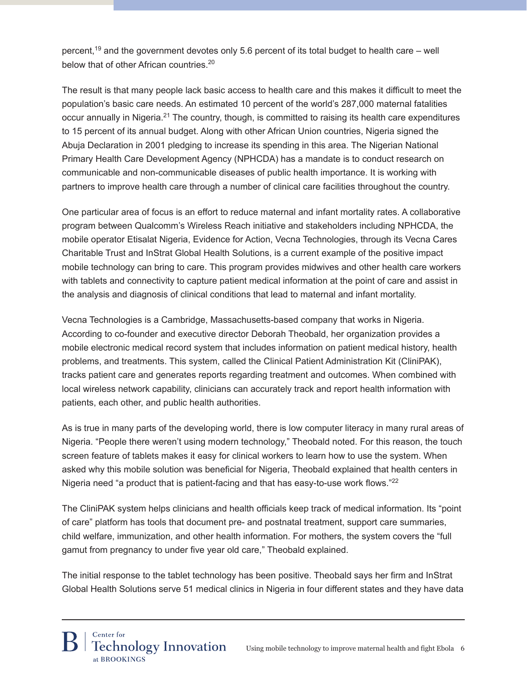percent,<sup>19</sup> and the government devotes only 5.6 percent of its total budget to health care – well below that of other African countries.<sup>20</sup>

The result is that many people lack basic access to health care and this makes it difficult to meet the population's basic care needs. An estimated 10 percent of the world's 287,000 maternal fatalities occur annually in Nigeria.21 The country, though, is committed to raising its health care expenditures to 15 percent of its annual budget. Along with other African Union countries, Nigeria signed the Abuja Declaration in 2001 pledging to increase its spending in this area. The Nigerian National Primary Health Care Development Agency (NPHCDA) has a mandate is to conduct research on communicable and non-communicable diseases of public health importance. It is working with partners to improve health care through a number of clinical care facilities throughout the country.

One particular area of focus is an effort to reduce maternal and infant mortality rates. A collaborative program between Qualcomm's Wireless Reach initiative and stakeholders including NPHCDA, the mobile operator Etisalat Nigeria, Evidence for Action, Vecna Technologies, through its Vecna Cares Charitable Trust and InStrat Global Health Solutions, is a current example of the positive impact mobile technology can bring to care. This program provides midwives and other health care workers with tablets and connectivity to capture patient medical information at the point of care and assist in the analysis and diagnosis of clinical conditions that lead to maternal and infant mortality.

Vecna Technologies is a Cambridge, Massachusetts-based company that works in Nigeria. According to co-founder and executive director Deborah Theobald, her organization provides a mobile electronic medical record system that includes information on patient medical history, health problems, and treatments. This system, called the Clinical Patient Administration Kit (CliniPAK), tracks patient care and generates reports regarding treatment and outcomes. When combined with local wireless network capability, clinicians can accurately track and report health information with patients, each other, and public health authorities.

As is true in many parts of the developing world, there is low computer literacy in many rural areas of Nigeria. "People there weren't using modern technology," Theobald noted. For this reason, the touch screen feature of tablets makes it easy for clinical workers to learn how to use the system. When asked why this mobile solution was beneficial for Nigeria, Theobald explained that health centers in Nigeria need "a product that is patient-facing and that has easy-to-use work flows."<sup>22</sup>

The CliniPAK system helps clinicians and health officials keep track of medical information. Its "point of care" platform has tools that document pre- and postnatal treatment, support care summaries, child welfare, immunization, and other health information. For mothers, the system covers the "full gamut from pregnancy to under five year old care," Theobald explained.

The initial response to the tablet technology has been positive. Theobald says her firm and InStrat Global Health Solutions serve 51 medical clinics in Nigeria in four different states and they have data

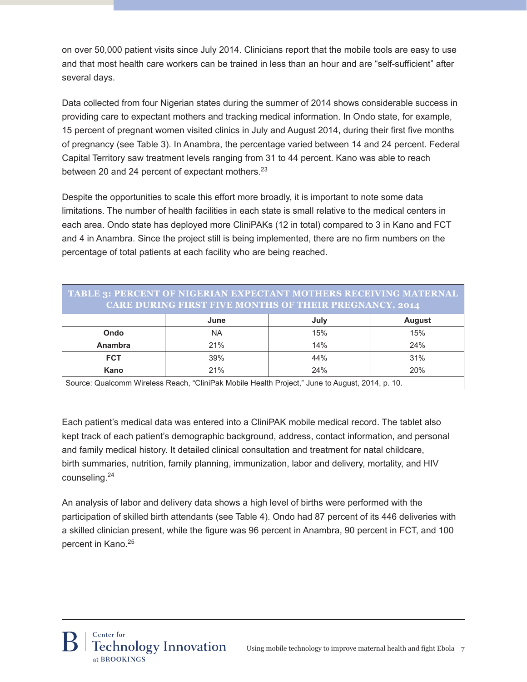on over 50,000 patient visits since July 2014. Clinicians report that the mobile tools are easy to use and that most health care workers can be trained in less than an hour and are "self-sufficient" after several days.

Data collected from four Nigerian states during the summer of 2014 shows considerable success in providing care to expectant mothers and tracking medical information. In Ondo state, for example, 15 percent of pregnant women visited clinics in July and August 2014, during their first five months of pregnancy (see Table 3). In Anambra, the percentage varied between 14 and 24 percent. Federal Capital Territory saw treatment levels ranging from 31 to 44 percent. Kano was able to reach between 20 and 24 percent of expectant mothers.<sup>23</sup>

Despite the opportunities to scale this effort more broadly, it is important to note some data limitations. The number of health facilities in each state is small relative to the medical centers in each area. Ondo state has deployed more CliniPAKs (12 in total) compared to 3 in Kano and FCT and 4 in Anambra. Since the project still is being implemented, there are no firm numbers on the percentage of total patients at each facility who are being reached.

| TABLE 3: PERCENT OF NIGERIAN EXPECTANT MOTHERS RECEIVING MATERNAL<br><b>CARE DURING FIRST FIVE MONTHS OF THEIR PREGNANCY, 2014</b> |           |      |               |  |  |
|------------------------------------------------------------------------------------------------------------------------------------|-----------|------|---------------|--|--|
|                                                                                                                                    | June      | July | <b>August</b> |  |  |
| Ondo                                                                                                                               | <b>NA</b> | 15%  | 15%           |  |  |
| Anambra                                                                                                                            | 21%       | 14%  | 24%           |  |  |
| <b>FCT</b>                                                                                                                         | 39%       | 44%  | 31%           |  |  |
| Kano                                                                                                                               | 21%       | 24%  | 20%           |  |  |
| Source: Qualcomm Wireless Reach "CliniPak Mobile Health Project" June to August 2014 n 10                                          |           |      |               |  |  |

Source: Qualcomm Wireless Reach, "CliniPak Mobile Health Project," June to August, 2014, p. 10.

Each patient's medical data was entered into a CliniPAK mobile medical record. The tablet also kept track of each patient's demographic background, address, contact information, and personal and family medical history. It detailed clinical consultation and treatment for natal childcare, birth summaries, nutrition, family planning, immunization, labor and delivery, mortality, and HIV counseling.<sup>24</sup>

An analysis of labor and delivery data shows a high level of births were performed with the participation of skilled birth attendants (see Table 4). Ondo had 87 percent of its 446 deliveries with a skilled clinician present, while the figure was 96 percent in Anambra, 90 percent in FCT, and 100 percent in Kano.<sup>25</sup>

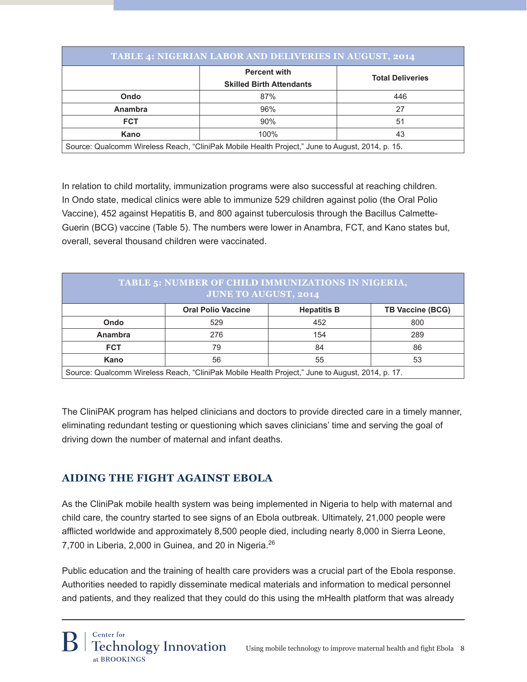| <b>TABLE 4: NIGERIAN LABOR AND DELIVERIES IN AUGUST, 2014</b>                                   |                                                        |                         |  |  |
|-------------------------------------------------------------------------------------------------|--------------------------------------------------------|-------------------------|--|--|
|                                                                                                 | <b>Percent with</b><br><b>Skilled Birth Attendants</b> | <b>Total Deliveries</b> |  |  |
| Ondo                                                                                            | 87%                                                    | 446                     |  |  |
| <b>Anambra</b>                                                                                  | 96%                                                    | 27                      |  |  |
| <b>FCT</b>                                                                                      | 90%                                                    | 51                      |  |  |
| Kano                                                                                            | 100%                                                   | 43                      |  |  |
| Source: Qualcomm Wireless Reach, "CliniPak Mobile Health Project," June to August, 2014, p. 15. |                                                        |                         |  |  |

In relation to child mortality, immunization programs were also successful at reaching children. In Ondo state, medical clinics were able to immunize 529 children against polio (the Oral Polio Vaccine), 452 against Hepatitis B, and 800 against tuberculosis through the Bacillus Calmette-Guerin (BCG) vaccine (Table 5). The numbers were lower in Anambra, FCT, and Kano states but, overall, several thousand children were vaccinated.

| TABLE 5: NUMBER OF CHILD IMMUNIZATIONS IN NIGERIA,<br><b>JUNE TO AUGUST, 2014</b>               |                           |                    |                         |  |  |
|-------------------------------------------------------------------------------------------------|---------------------------|--------------------|-------------------------|--|--|
|                                                                                                 | <b>Oral Polio Vaccine</b> | <b>Hepatitis B</b> | <b>TB Vaccine (BCG)</b> |  |  |
| Ondo                                                                                            | 529                       | 452                | 800                     |  |  |
| Anambra                                                                                         | 276                       | 154                | 289                     |  |  |
| <b>FCT</b>                                                                                      | 79                        | 84                 | 86                      |  |  |
| Kano                                                                                            | 56                        | 55                 | 53                      |  |  |
| Source: Qualcomm Wireless Reach, "CliniPak Mobile Health Project," June to August, 2014, p. 17. |                           |                    |                         |  |  |

The CliniPAK program has helped clinicians and doctors to provide directed care in a timely manner, eliminating redundant testing or questioning which saves clinicians' time and serving the goal of driving down the number of maternal and infant deaths.

# **Aiding the Fight Against Ebola**

As the CliniPak mobile health system was being implemented in Nigeria to help with maternal and child care, the country started to see signs of an Ebola outbreak. Ultimately, 21,000 people were afflicted worldwide and approximately 8,500 people died, including nearly 8,000 in Sierra Leone, 7,700 in Liberia, 2,000 in Guinea, and 20 in Nigeria.<sup>26</sup>

Public education and the training of health care providers was a crucial part of the Ebola response. Authorities needed to rapidly disseminate medical materials and information to medical personnel and patients, and they realized that they could do this using the mHealth platform that was already

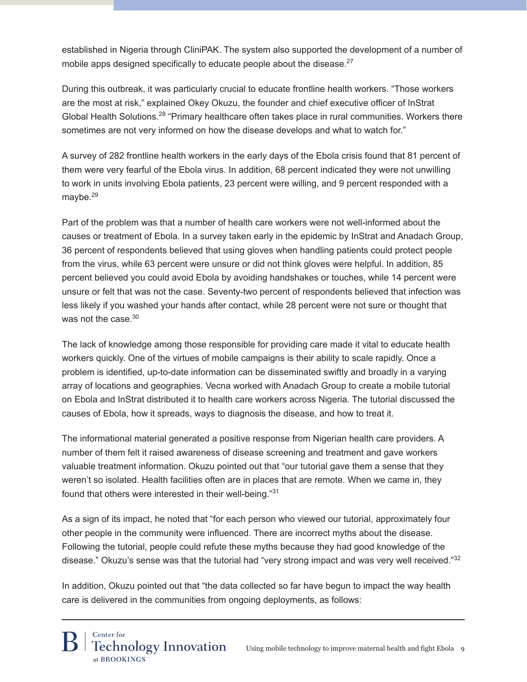established in Nigeria through CliniPAK. The system also supported the development of a number of mobile apps designed specifically to educate people about the disease.<sup>27</sup>

During this outbreak, it was particularly crucial to educate frontline health workers. "Those workers are the most at risk," explained Okey Okuzu, the founder and chief executive officer of InStrat Global Health Solutions.<sup>28</sup> "Primary healthcare often takes place in rural communities. Workers there sometimes are not very informed on how the disease develops and what to watch for."

A survey of 282 frontline health workers in the early days of the Ebola crisis found that 81 percent of them were very fearful of the Ebola virus. In addition, 68 percent indicated they were not unwilling to work in units involving Ebola patients, 23 percent were willing, and 9 percent responded with a maybe.<sup>29</sup>

Part of the problem was that a number of health care workers were not well-informed about the causes or treatment of Ebola. In a survey taken early in the epidemic by InStrat and Anadach Group, 36 percent of respondents believed that using gloves when handling patients could protect people from the virus, while 63 percent were unsure or did not think gloves were helpful. In addition, 85 percent believed you could avoid Ebola by avoiding handshakes or touches, while 14 percent were unsure or felt that was not the case. Seventy-two percent of respondents believed that infection was less likely if you washed your hands after contact, while 28 percent were not sure or thought that was not the case.<sup>30</sup>

The lack of knowledge among those responsible for providing care made it vital to educate health workers quickly. One of the virtues of mobile campaigns is their ability to scale rapidly. Once a problem is identified, up-to-date information can be disseminated swiftly and broadly in a varying array of locations and geographies. Vecna worked with Anadach Group to create a mobile tutorial on Ebola and InStrat distributed it to health care workers across Nigeria. The tutorial discussed the causes of Ebola, how it spreads, ways to diagnosis the disease, and how to treat it.

The informational material generated a positive response from Nigerian health care providers. A number of them felt it raised awareness of disease screening and treatment and gave workers valuable treatment information. Okuzu pointed out that "our tutorial gave them a sense that they weren't so isolated. Health facilities often are in places that are remote. When we came in, they found that others were interested in their well-being."<sup>31</sup>

As a sign of its impact, he noted that "for each person who viewed our tutorial, approximately four other people in the community were influenced. There are incorrect myths about the disease. Following the tutorial, people could refute these myths because they had good knowledge of the disease." Okuzu's sense was that the tutorial had "very strong impact and was very well received."<sup>32</sup>

In addition, Okuzu pointed out that "the data collected so far have begun to impact the way health care is delivered in the communities from ongoing deployments, as follows:

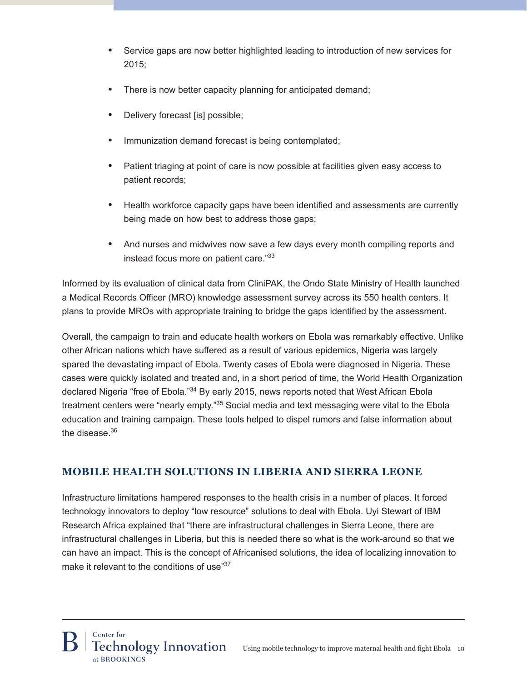- **•**  Service gaps are now better highlighted leading to introduction of new services for 2015;
- There is now better capacity planning for anticipated demand;
- Delivery forecast [is] possible;
- Immunization demand forecast is being contemplated;
- Patient triaging at point of care is now possible at facilities given easy access to patient records;
- **•**  Health workforce capacity gaps have been identified and assessments are currently being made on how best to address those gaps;
- **•**  And nurses and midwives now save a few days every month compiling reports and instead focus more on patient care."<sup>33</sup>

Informed by its evaluation of clinical data from CliniPAK, the Ondo State Ministry of Health launched a Medical Records Officer (MRO) knowledge assessment survey across its 550 health centers. It plans to provide MROs with appropriate training to bridge the gaps identified by the assessment.

Overall, the campaign to train and educate health workers on Ebola was remarkably effective. Unlike other African nations which have suffered as a result of various epidemics, Nigeria was largely spared the devastating impact of Ebola. Twenty cases of Ebola were diagnosed in Nigeria. These cases were quickly isolated and treated and, in a short period of time, the World Health Organization declared Nigeria "free of Ebola."<sup>34</sup> By early 2015, news reports noted that West African Ebola treatment centers were "nearly empty."35 Social media and text messaging were vital to the Ebola education and training campaign. These tools helped to dispel rumors and false information about the disease.<sup>36</sup>

# **Mobile Health Solutions in Liberia and Sierra Leone**

Infrastructure limitations hampered responses to the health crisis in a number of places. It forced technology innovators to deploy "low resource" solutions to deal with Ebola. Uyi Stewart of IBM Research Africa explained that "there are infrastructural challenges in Sierra Leone, there are infrastructural challenges in Liberia, but this is needed there so what is the work-around so that we can have an impact. This is the concept of Africanised solutions, the idea of localizing innovation to make it relevant to the conditions of use<sup>37</sup>

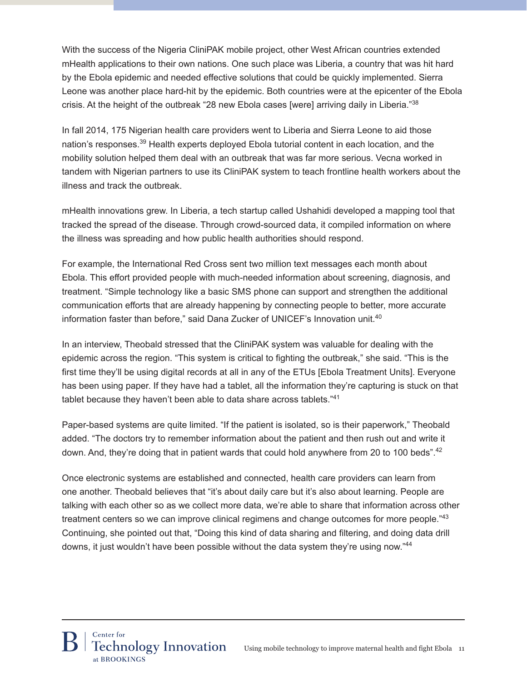With the success of the Nigeria CliniPAK mobile project, other West African countries extended mHealth applications to their own nations. One such place was Liberia, a country that was hit hard by the Ebola epidemic and needed effective solutions that could be quickly implemented. Sierra Leone was another place hard-hit by the epidemic. Both countries were at the epicenter of the Ebola crisis. At the height of the outbreak "28 new Ebola cases [were] arriving daily in Liberia."<sup>38</sup>

In fall 2014, 175 Nigerian health care providers went to Liberia and Sierra Leone to aid those nation's responses.39 Health experts deployed Ebola tutorial content in each location, and the mobility solution helped them deal with an outbreak that was far more serious. Vecna worked in tandem with Nigerian partners to use its CliniPAK system to teach frontline health workers about the illness and track the outbreak.

mHealth innovations grew. In Liberia, a tech startup called Ushahidi developed a mapping tool that tracked the spread of the disease. Through crowd-sourced data, it compiled information on where the illness was spreading and how public health authorities should respond.

For example, the International Red Cross sent two million text messages each month about Ebola. This effort provided people with much-needed information about screening, diagnosis, and treatment. "Simple technology like a basic SMS phone can support and strengthen the additional communication efforts that are already happening by connecting people to better, more accurate information faster than before," said Dana Zucker of UNICEF's Innovation unit.<sup>40</sup>

In an interview, Theobald stressed that the CliniPAK system was valuable for dealing with the epidemic across the region. "This system is critical to fighting the outbreak," she said. "This is the first time they'll be using digital records at all in any of the ETUs [Ebola Treatment Units]. Everyone has been using paper. If they have had a tablet, all the information they're capturing is stuck on that tablet because they haven't been able to data share across tablets."41

Paper-based systems are quite limited. "If the patient is isolated, so is their paperwork," Theobald added. "The doctors try to remember information about the patient and then rush out and write it down. And, they're doing that in patient wards that could hold anywhere from 20 to 100 beds".<sup>42</sup>

Once electronic systems are established and connected, health care providers can learn from one another. Theobald believes that "it's about daily care but it's also about learning. People are talking with each other so as we collect more data, we're able to share that information across other treatment centers so we can improve clinical regimens and change outcomes for more people."<sup>43</sup> Continuing, she pointed out that, "Doing this kind of data sharing and filtering, and doing data drill downs, it just wouldn't have been possible without the data system they're using now."44

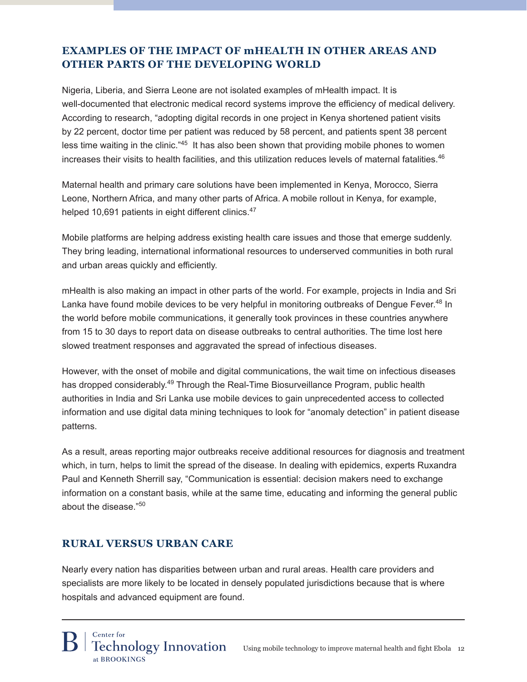# **Examples of the Impact of mHealth in Other Areas and Other Parts of the Developing World**

Nigeria, Liberia, and Sierra Leone are not isolated examples of mHealth impact. It is well-documented that electronic medical record systems improve the efficiency of medical delivery. According to research, "adopting digital records in one project in Kenya shortened patient visits by 22 percent, doctor time per patient was reduced by 58 percent, and patients spent 38 percent less time waiting in the clinic."45 It has also been shown that providing mobile phones to women increases their visits to health facilities, and this utilization reduces levels of maternal fatalities.<sup>46</sup>

Maternal health and primary care solutions have been implemented in Kenya, Morocco, Sierra Leone, Northern Africa, and many other parts of Africa. A mobile rollout in Kenya, for example, helped 10,691 patients in eight different clinics.<sup>47</sup>

Mobile platforms are helping address existing health care issues and those that emerge suddenly. They bring leading, international informational resources to underserved communities in both rural and urban areas quickly and efficiently.

mHealth is also making an impact in other parts of the world. For example, projects in India and Sri Lanka have found mobile devices to be very helpful in monitoring outbreaks of Dengue Fever.<sup>48</sup> In the world before mobile communications, it generally took provinces in these countries anywhere from 15 to 30 days to report data on disease outbreaks to central authorities. The time lost here slowed treatment responses and aggravated the spread of infectious diseases.

However, with the onset of mobile and digital communications, the wait time on infectious diseases has dropped considerably.<sup>49</sup> Through the Real-Time Biosurveillance Program, public health authorities in India and Sri Lanka use mobile devices to gain unprecedented access to collected information and use digital data mining techniques to look for "anomaly detection" in patient disease patterns.

As a result, areas reporting major outbreaks receive additional resources for diagnosis and treatment which, in turn, helps to limit the spread of the disease. In dealing with epidemics, experts Ruxandra Paul and Kenneth Sherrill say, "Communication is essential: decision makers need to exchange information on a constant basis, while at the same time, educating and informing the general public about the disease."<sup>50</sup>

## **Rural Versus Urban Care**

Nearly every nation has disparities between urban and rural areas. Health care providers and specialists are more likely to be located in densely populated jurisdictions because that is where hospitals and advanced equipment are found.

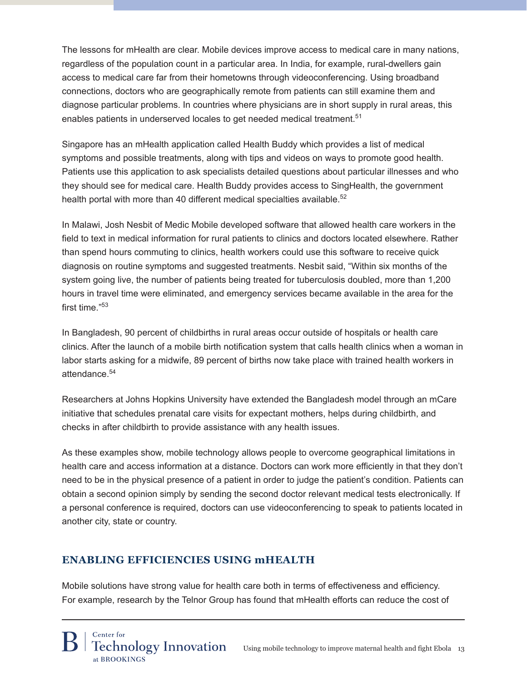The lessons for mHealth are clear. Mobile devices improve access to medical care in many nations, regardless of the population count in a particular area. In India, for example, rural-dwellers gain access to medical care far from their hometowns through videoconferencing. Using broadband connections, doctors who are geographically remote from patients can still examine them and diagnose particular problems. In countries where physicians are in short supply in rural areas, this enables patients in underserved locales to get needed medical treatment.<sup>51</sup>

Singapore has an mHealth application called Health Buddy which provides a list of medical symptoms and possible treatments, along with tips and videos on ways to promote good health. Patients use this application to ask specialists detailed questions about particular illnesses and who they should see for medical care. Health Buddy provides access to SingHealth, the government health portal with more than 40 different medical specialties available.<sup>52</sup>

In Malawi, Josh Nesbit of Medic Mobile developed software that allowed health care workers in the field to text in medical information for rural patients to clinics and doctors located elsewhere. Rather than spend hours commuting to clinics, health workers could use this software to receive quick diagnosis on routine symptoms and suggested treatments. Nesbit said, "Within six months of the system going live, the number of patients being treated for tuberculosis doubled, more than 1,200 hours in travel time were eliminated, and emergency services became available in the area for the first time."53

In Bangladesh, 90 percent of childbirths in rural areas occur outside of hospitals or health care clinics. After the launch of a mobile birth notification system that calls health clinics when a woman in labor starts asking for a midwife, 89 percent of births now take place with trained health workers in attendance.<sup>54</sup>

Researchers at Johns Hopkins University have extended the Bangladesh model through an mCare initiative that schedules prenatal care visits for expectant mothers, helps during childbirth, and checks in after childbirth to provide assistance with any health issues.

As these examples show, mobile technology allows people to overcome geographical limitations in health care and access information at a distance. Doctors can work more efficiently in that they don't need to be in the physical presence of a patient in order to judge the patient's condition. Patients can obtain a second opinion simply by sending the second doctor relevant medical tests electronically. If a personal conference is required, doctors can use videoconferencing to speak to patients located in another city, state or country.

# **Enabling Efficiencies Using mHealth**

Mobile solutions have strong value for health care both in terms of effectiveness and efficiency. For example, research by the Telnor Group has found that mHealth efforts can reduce the cost of

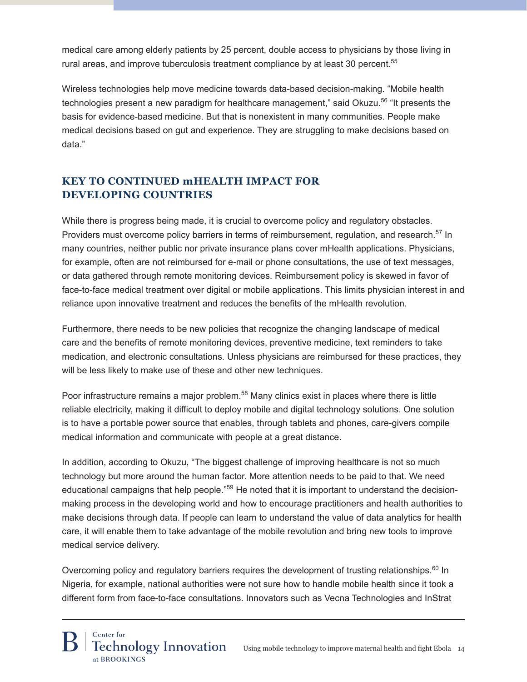medical care among elderly patients by 25 percent, double access to physicians by those living in rural areas, and improve tuberculosis treatment compliance by at least 30 percent.<sup>55</sup>

Wireless technologies help move medicine towards data-based decision-making. "Mobile health technologies present a new paradigm for healthcare management," said Okuzu.<sup>56</sup> "It presents the basis for evidence-based medicine. But that is nonexistent in many communities. People make medical decisions based on gut and experience. They are struggling to make decisions based on data."

# **Key to Continued mHealth Impact for Developing Countries**

While there is progress being made, it is crucial to overcome policy and regulatory obstacles. Providers must overcome policy barriers in terms of reimbursement, regulation, and research.<sup>57</sup> In many countries, neither public nor private insurance plans cover mHealth applications. Physicians, for example, often are not reimbursed for e-mail or phone consultations, the use of text messages, or data gathered through remote monitoring devices. Reimbursement policy is skewed in favor of face-to-face medical treatment over digital or mobile applications. This limits physician interest in and reliance upon innovative treatment and reduces the benefits of the mHealth revolution.

Furthermore, there needs to be new policies that recognize the changing landscape of medical care and the benefits of remote monitoring devices, preventive medicine, text reminders to take medication, and electronic consultations. Unless physicians are reimbursed for these practices, they will be less likely to make use of these and other new techniques.

Poor infrastructure remains a major problem.<sup>58</sup> Many clinics exist in places where there is little reliable electricity, making it difficult to deploy mobile and digital technology solutions. One solution is to have a portable power source that enables, through tablets and phones, care-givers compile medical information and communicate with people at a great distance.

In addition, according to Okuzu, "The biggest challenge of improving healthcare is not so much technology but more around the human factor. More attention needs to be paid to that. We need educational campaigns that help people."<sup>59</sup> He noted that it is important to understand the decisionmaking process in the developing world and how to encourage practitioners and health authorities to make decisions through data. If people can learn to understand the value of data analytics for health care, it will enable them to take advantage of the mobile revolution and bring new tools to improve medical service delivery.

Overcoming policy and regulatory barriers requires the development of trusting relationships. $60$  In Nigeria, for example, national authorities were not sure how to handle mobile health since it took a different form from face-to-face consultations. Innovators such as Vecna Technologies and InStrat

# Center for **Technology Innovation** at BROOKINGS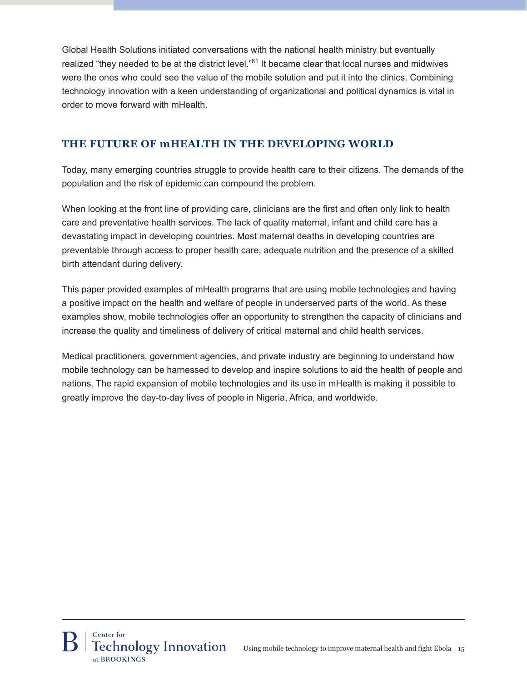Global Health Solutions initiated conversations with the national health ministry but eventually realized "they needed to be at the district level."<sup>61</sup> It became clear that local nurses and midwives were the ones who could see the value of the mobile solution and put it into the clinics. Combining technology innovation with a keen understanding of organizational and political dynamics is vital in order to move forward with mHealth.

# **The Future of mHealth in the Developing World**

Today, many emerging countries struggle to provide health care to their citizens. The demands of the population and the risk of epidemic can compound the problem.

When looking at the front line of providing care, clinicians are the first and often only link to health care and preventative health services. The lack of quality maternal, infant and child care has a devastating impact in developing countries. Most maternal deaths in developing countries are preventable through access to proper health care, adequate nutrition and the presence of a skilled birth attendant during delivery.

This paper provided examples of mHealth programs that are using mobile technologies and having a positive impact on the health and welfare of people in underserved parts of the world. As these examples show, mobile technologies offer an opportunity to strengthen the capacity of clinicians and increase the quality and timeliness of delivery of critical maternal and child health services.

Medical practitioners, government agencies, and private industry are beginning to understand how mobile technology can be harnessed to develop and inspire solutions to aid the health of people and nations. The rapid expansion of mobile technologies and its use in mHealth is making it possible to greatly improve the day-to-day lives of people in Nigeria, Africa, and worldwide.

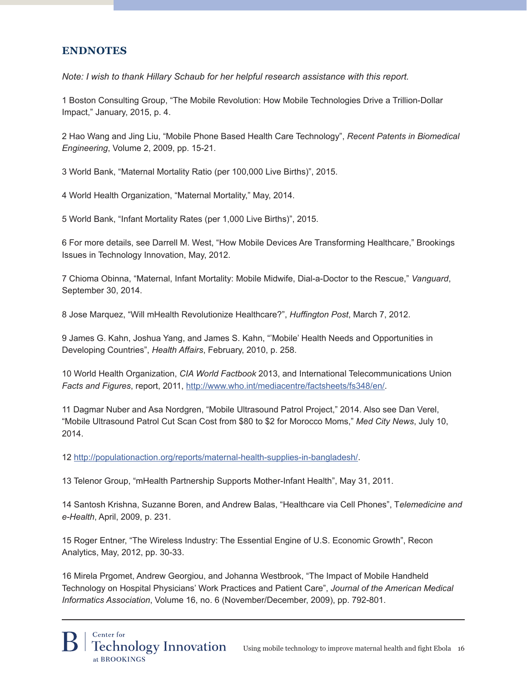## **Endnotes**

*Note: I wish to thank Hillary Schaub for her helpful research assistance with this report.*

1 Boston Consulting Group, "The Mobile Revolution: How Mobile Technologies Drive a Trillion-Dollar Impact," January, 2015, p. 4.

2 Hao Wang and Jing Liu, "Mobile Phone Based Health Care Technology", *Recent Patents in Biomedical Engineering*, Volume 2, 2009, pp. 15-21.

3 World Bank, "Maternal Mortality Ratio (per 100,000 Live Births)", 2015.

4 World Health Organization, "Maternal Mortality," May, 2014.

5 World Bank, "Infant Mortality Rates (per 1,000 Live Births)", 2015.

6 For more details, see Darrell M. West, "How Mobile Devices Are Transforming Healthcare," Brookings Issues in Technology Innovation, May, 2012.

7 Chioma Obinna, "Maternal, Infant Mortality: Mobile Midwife, Dial-a-Doctor to the Rescue," *Vanguard*, September 30, 2014.

8 Jose Marquez, "Will mHealth Revolutionize Healthcare?", *Huffington Post*, March 7, 2012.

9 James G. Kahn, Joshua Yang, and James S. Kahn, "'Mobile' Health Needs and Opportunities in Developing Countries", *Health Affairs*, February, 2010, p. 258.

10 World Health Organization, *CIA World Factbook* 2013, and International Telecommunications Union *Facts and Figures*, report, 2011, http://www.who.int/mediacentre/factsheets/fs348/en/.

11 Dagmar Nuber and Asa Nordgren, "Mobile Ultrasound Patrol Project," 2014. Also see Dan Verel, "Mobile Ultrasound Patrol Cut Scan Cost from \$80 to \$2 for Morocco Moms," *Med City News*, July 10, 2014.

12 http://populationaction.org/reports/maternal-health-supplies-in-bangladesh/.

13 Telenor Group, "mHealth Partnership Supports Mother-Infant Health", May 31, 2011.

14 Santosh Krishna, Suzanne Boren, and Andrew Balas, "Healthcare via Cell Phones", T*elemedicine and e-Health*, April, 2009, p. 231.

15 Roger Entner, "The Wireless Industry: The Essential Engine of U.S. Economic Growth", Recon Analytics, May, 2012, pp. 30-33.

16 Mirela Prgomet, Andrew Georgiou, and Johanna Westbrook, "The Impact of Mobile Handheld Technology on Hospital Physicians' Work Practices and Patient Care", *Journal of the American Medical Informatics Association*, Volume 16, no. 6 (November/December, 2009), pp. 792-801.

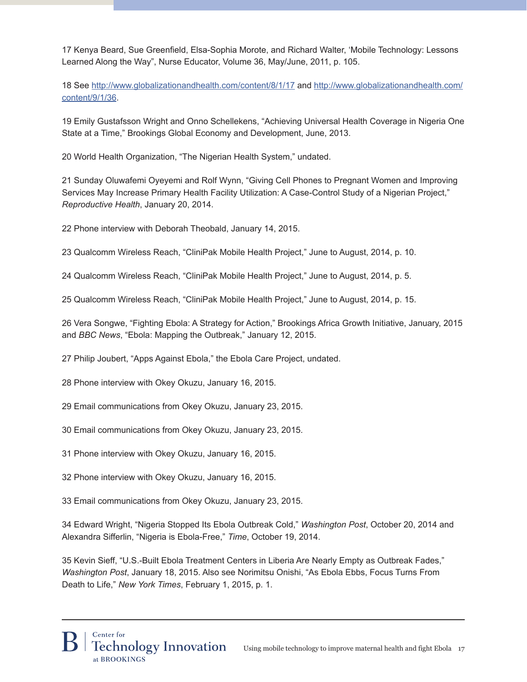17 Kenya Beard, Sue Greenfield, Elsa-Sophia Morote, and Richard Walter, 'Mobile Technology: Lessons Learned Along the Way", Nurse Educator, Volume 36, May/June, 2011, p. 105.

18 See http://www.globalizationandhealth.com/content/8/1/17 and http://www.globalizationandhealth.com/ content/9/1/36.

19 Emily Gustafsson Wright and Onno Schellekens, "Achieving Universal Health Coverage in Nigeria One State at a Time," Brookings Global Economy and Development, June, 2013.

20 World Health Organization, "The Nigerian Health System," undated.

21 Sunday Oluwafemi Oyeyemi and Rolf Wynn, "Giving Cell Phones to Pregnant Women and Improving Services May Increase Primary Health Facility Utilization: A Case-Control Study of a Nigerian Project," *Reproductive Health*, January 20, 2014.

22 Phone interview with Deborah Theobald, January 14, 2015.

23 Qualcomm Wireless Reach, "CliniPak Mobile Health Project," June to August, 2014, p. 10.

24 Qualcomm Wireless Reach, "CliniPak Mobile Health Project," June to August, 2014, p. 5.

25 Qualcomm Wireless Reach, "CliniPak Mobile Health Project," June to August, 2014, p. 15.

26 Vera Songwe, "Fighting Ebola: A Strategy for Action," Brookings Africa Growth Initiative, January, 2015 and *BBC News*, "Ebola: Mapping the Outbreak," January 12, 2015.

27 Philip Joubert, "Apps Against Ebola," the Ebola Care Project, undated.

28 Phone interview with Okey Okuzu, January 16, 2015.

29 Email communications from Okey Okuzu, January 23, 2015.

30 Email communications from Okey Okuzu, January 23, 2015.

31 Phone interview with Okey Okuzu, January 16, 2015.

32 Phone interview with Okey Okuzu, January 16, 2015.

33 Email communications from Okey Okuzu, January 23, 2015.

34 Edward Wright, "Nigeria Stopped Its Ebola Outbreak Cold," *Washington Post*, October 20, 2014 and Alexandra Sifferlin, "Nigeria is Ebola-Free," *Time*, October 19, 2014.

35 Kevin Sieff, "U.S.-Built Ebola Treatment Centers in Liberia Are Nearly Empty as Outbreak Fades," *Washington Post*, January 18, 2015. Also see Norimitsu Onishi, "As Ebola Ebbs, Focus Turns From Death to Life," *New York Times*, February 1, 2015, p. 1.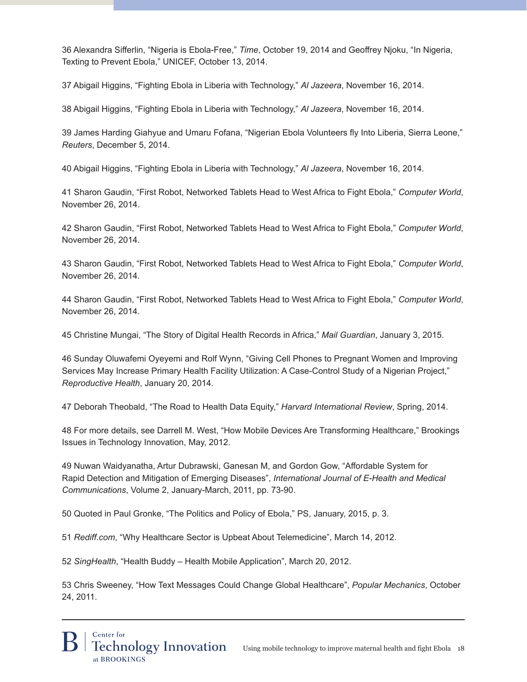36 Alexandra Sifferlin, "Nigeria is Ebola-Free," *Time*, October 19, 2014 and Geoffrey Njoku, "In Nigeria, Texting to Prevent Ebola," UNICEF, October 13, 2014.

37 Abigail Higgins, "Fighting Ebola in Liberia with Technology," *Al Jazeera*, November 16, 2014.

38 Abigail Higgins, "Fighting Ebola in Liberia with Technology," *Al Jazeera*, November 16, 2014.

39 James Harding Giahyue and Umaru Fofana, "Nigerian Ebola Volunteers fly Into Liberia, Sierra Leone," *Reuters*, December 5, 2014.

40 Abigail Higgins, "Fighting Ebola in Liberia with Technology," *Al Jazeera*, November 16, 2014.

41 Sharon Gaudin, "First Robot, Networked Tablets Head to West Africa to Fight Ebola," *Computer World*, November 26, 2014.

42 Sharon Gaudin, "First Robot, Networked Tablets Head to West Africa to Fight Ebola," *Computer World*, November 26, 2014.

43 Sharon Gaudin, "First Robot, Networked Tablets Head to West Africa to Fight Ebola," *Computer World*, November 26, 2014.

44 Sharon Gaudin, "First Robot, Networked Tablets Head to West Africa to Fight Ebola," *Computer World*, November 26, 2014.

45 Christine Mungai, "The Story of Digital Health Records in Africa," *Mail Guardian*, January 3, 2015.

46 Sunday Oluwafemi Oyeyemi and Rolf Wynn, "Giving Cell Phones to Pregnant Women and Improving Services May Increase Primary Health Facility Utilization: A Case-Control Study of a Nigerian Project," *Reproductive Health*, January 20, 2014.

47 Deborah Theobald, "The Road to Health Data Equity," *Harvard International Review*, Spring, 2014.

48 For more details, see Darrell M. West, "How Mobile Devices Are Transforming Healthcare," Brookings Issues in Technology Innovation, May, 2012.

49 Nuwan Waidyanatha, Artur Dubrawski, Ganesan M, and Gordon Gow, "Affordable System for Rapid Detection and Mitigation of Emerging Diseases", *International Journal of E-Health and Medical Communications*, Volume 2, January-March, 2011, pp. 73-90.

50 Quoted in Paul Gronke, "The Politics and Policy of Ebola," PS, January, 2015, p. 3.

51 *Rediff.com*, "Why Healthcare Sector is Upbeat About Telemedicine", March 14, 2012.

52 *SingHealth*, "Health Buddy – Health Mobile Application", March 20, 2012.

53 Chris Sweeney, "How Text Messages Could Change Global Healthcare", *Popular Mechanics*, October 24, 2011.

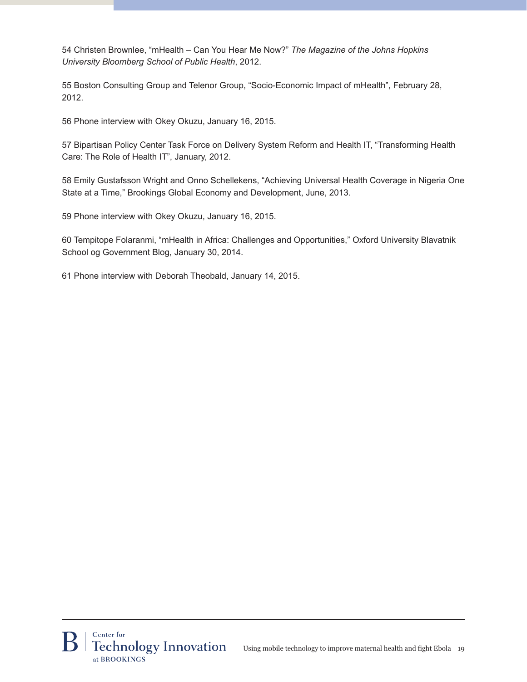54 Christen Brownlee, "mHealth – Can You Hear Me Now?" *The Magazine of the Johns Hopkins University Bloomberg School of Public Health*, 2012.

55 Boston Consulting Group and Telenor Group, "Socio-Economic Impact of mHealth", February 28, 2012.

56 Phone interview with Okey Okuzu, January 16, 2015.

57 Bipartisan Policy Center Task Force on Delivery System Reform and Health IT, "Transforming Health Care: The Role of Health IT", January, 2012.

58 Emily Gustafsson Wright and Onno Schellekens, "Achieving Universal Health Coverage in Nigeria One State at a Time," Brookings Global Economy and Development, June, 2013.

59 Phone interview with Okey Okuzu, January 16, 2015.

60 Tempitope Folaranmi, "mHealth in Africa: Challenges and Opportunities," Oxford University Blavatnik School og Government Blog, January 30, 2014.

61 Phone interview with Deborah Theobald, January 14, 2015.